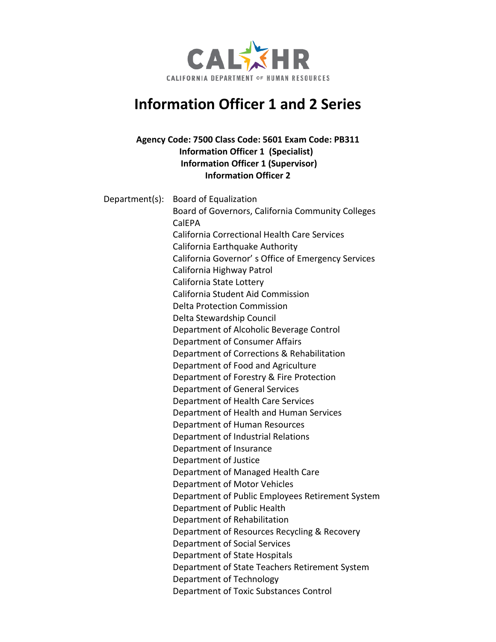

# **Information Officer 1 and 2 Series**

# **Agency Code: 7500 Class Code: 5601 Exam Code: PB311 Information Officer 1 (Specialist) Information Officer 1 (Supervisor) Information Officer 2**

| Department(s): | <b>Board of Equalization</b>                       |
|----------------|----------------------------------------------------|
|                | Board of Governors, California Community Colleges  |
|                | CalEPA                                             |
|                | California Correctional Health Care Services       |
|                | California Earthquake Authority                    |
|                | California Governor's Office of Emergency Services |
|                | California Highway Patrol                          |
|                | California State Lottery                           |
|                | California Student Aid Commission                  |
|                | <b>Delta Protection Commission</b>                 |
|                | Delta Stewardship Council                          |
|                | Department of Alcoholic Beverage Control           |
|                | Department of Consumer Affairs                     |
|                | Department of Corrections & Rehabilitation         |
|                | Department of Food and Agriculture                 |
|                | Department of Forestry & Fire Protection           |
|                | Department of General Services                     |
|                | Department of Health Care Services                 |
|                | Department of Health and Human Services            |
|                | Department of Human Resources                      |
|                | Department of Industrial Relations                 |
|                | Department of Insurance                            |
|                | Department of Justice                              |
|                | Department of Managed Health Care                  |
|                | Department of Motor Vehicles                       |
|                | Department of Public Employees Retirement System   |
|                | Department of Public Health                        |
|                | Department of Rehabilitation                       |
|                | Department of Resources Recycling & Recovery       |
|                | Department of Social Services                      |
|                | Department of State Hospitals                      |
|                | Department of State Teachers Retirement System     |
|                | Department of Technology                           |
|                | Department of Toxic Substances Control             |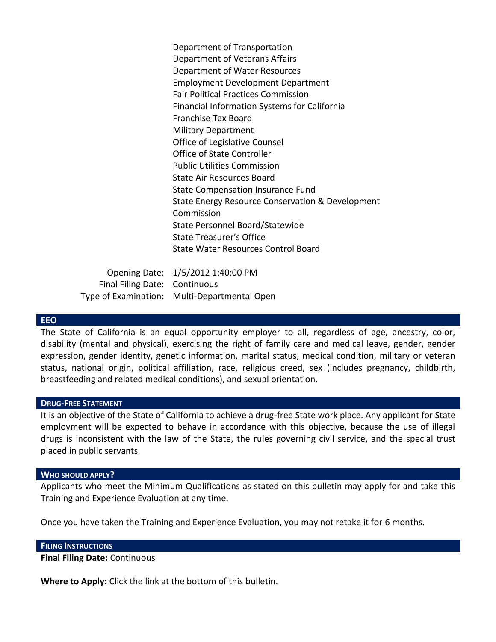Department of Transportation Department of Veterans Affairs Department of Water Resources Employment Development Department Fair Political Practices Commission Financial Information Systems for California Franchise Tax Board Military Department Office of Legislative Counsel Office of State Controller Public Utilities Commission State Air Resources Board State Compensation Insurance Fund State Energy Resource Conservation & Development Commission State Personnel Board/Statewide State Treasurer's Office State Water Resources Control Board

Opening Date: 1/5/2012 1:40:00 PM Final Filing Date: Continuous Type of Examination: Multi-Departmental Open

#### **EEO**

The State of California is an equal opportunity employer to all, regardless of age, ancestry, color, disability (mental and physical), exercising the right of family care and medical leave, gender, gender expression, gender identity, genetic information, marital status, medical condition, military or veteran status, national origin, political affiliation, race, religious creed, sex (includes pregnancy, childbirth, breastfeeding and related medical conditions), and sexual orientation.

### **DRUG-FREE STATEMENT**

It is an objective of the State of California to achieve a drug-free State work place. Any applicant for State employment will be expected to behave in accordance with this objective, because the use of illegal drugs is inconsistent with the law of the State, the rules governing civil service, and the special trust placed in public servants.

#### **WHO SHOULD APPLY?**

Applicants who meet the Minimum Qualifications as stated on this bulletin may apply for and take this Training and Experience Evaluation at any time.

Once you have taken the Training and Experience Evaluation, you may not retake it for 6 months.

#### **FILING INSTRUCTIONS**

**Final Filing Date:** Continuous

**Where to Apply:** Click the link at the bottom of this bulletin.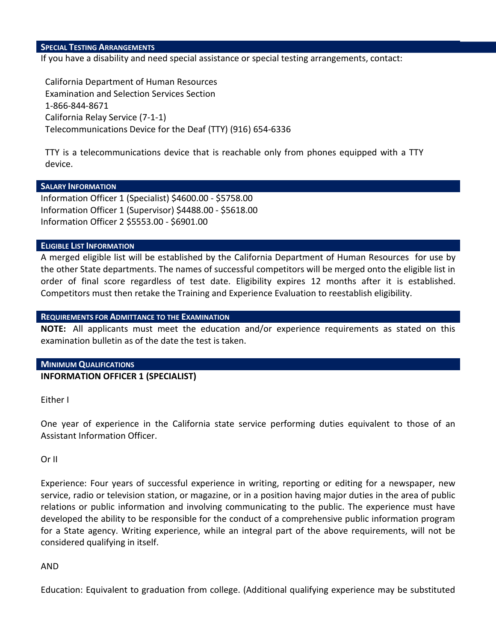#### **SPECIAL TESTING ARRANGEMENTS**

If you have a disability and need special assistance or special testing arrangements, contact:

California Department of Human Resources Examination and Selection Services Section 1-866-844-8671 California Relay Service (7-1-1) Telecommunications Device for the Deaf (TTY) (916) 654-6336

TTY is a telecommunications device that is reachable only from phones equipped with a TTY device.

#### **SALARY INFORMATION**

Information Officer 1 (Specialist) \$4600.00 - \$5758.00 Information Officer 1 (Supervisor) \$4488.00 - \$5618.00 Information Officer 2 \$5553.00 - \$6901.00

#### **ELIGIBLE LIST INFORMATION**

A merged eligible list will be established by the California Department of Human Resources for use by the other State departments. The names of successful competitors will be merged onto the eligible list in order of final score regardless of test date. Eligibility expires 12 months after it is established. Competitors must then retake the Training and Experience Evaluation to reestablish eligibility.

### **REQUIREMENTS FOR ADMITTANCE TO THE EXAMINATION**

**NOTE:** All applicants must meet the education and/or experience requirements as stated on this examination bulletin as of the date the test is taken.

#### **MINIMUM QUALIFICATIONS**

### **INFORMATION OFFICER 1 (SPECIALIST)**

Either I

One year of experience in the California state service performing duties equivalent to those of an Assistant Information Officer.

### Or II

Experience: Four years of successful experience in writing, reporting or editing for a newspaper, new service, radio or television station, or magazine, or in a position having major duties in the area of public relations or public information and involving communicating to the public. The experience must have developed the ability to be responsible for the conduct of a comprehensive public information program for a State agency. Writing experience, while an integral part of the above requirements, will not be considered qualifying in itself.

### AND

Education: Equivalent to graduation from college. (Additional qualifying experience may be substituted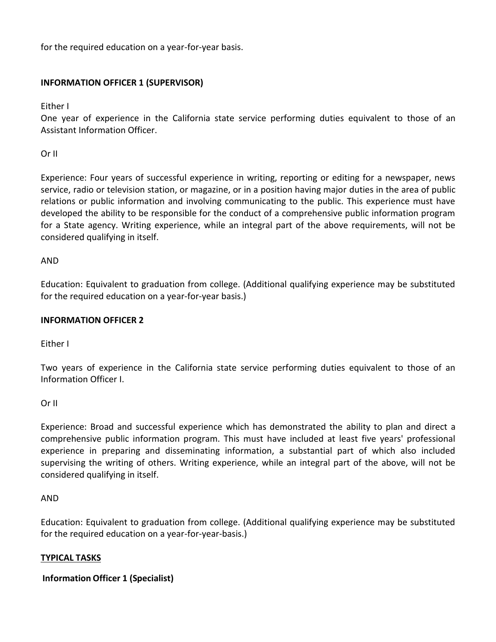for the required education on a year-for-year basis.

# **INFORMATION OFFICER 1 (SUPERVISOR)**

Either I

One year of experience in the California state service performing duties equivalent to those of an Assistant Information Officer.

Or II

Experience: Four years of successful experience in writing, reporting or editing for a newspaper, news service, radio or television station, or magazine, or in a position having major duties in the area of public relations or public information and involving communicating to the public. This experience must have developed the ability to be responsible for the conduct of a comprehensive public information program for a State agency. Writing experience, while an integral part of the above requirements, will not be considered qualifying in itself.

# AND

Education: Equivalent to graduation from college. (Additional qualifying experience may be substituted for the required education on a year-for-year basis.)

# **INFORMATION OFFICER 2**

Either I

Two years of experience in the California state service performing duties equivalent to those of an Information Officer I.

### Or II

Experience: Broad and successful experience which has demonstrated the ability to plan and direct a comprehensive public information program. This must have included at least five years' professional experience in preparing and disseminating information, a substantial part of which also included supervising the writing of others. Writing experience, while an integral part of the above, will not be considered qualifying in itself.

### AND

Education: Equivalent to graduation from college. (Additional qualifying experience may be substituted for the required education on a year-for-year-basis.)

# **TYPICAL TASKS**

# **Information Officer 1 (Specialist)**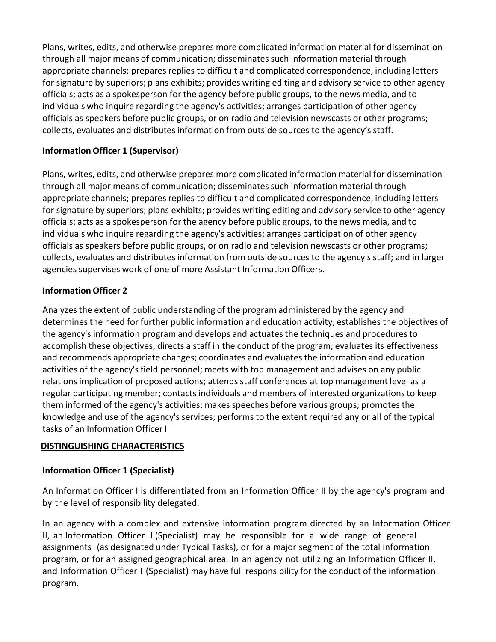Plans, writes, edits, and otherwise prepares more complicated information material for dissemination through all major means of communication; disseminates such information material through appropriate channels; prepares replies to difficult and complicated correspondence, including letters for signature by superiors; plans exhibits; provides writing editing and advisory service to other agency officials; acts as a spokesperson for the agency before public groups, to the news media, and to individuals who inquire regarding the agency's activities; arranges participation of other agency officials as speakers before public groups, or on radio and television newscasts or other programs; collects, evaluates and distributes information from outside sources to the agency's staff.

# **Information Officer 1 (Supervisor)**

Plans, writes, edits, and otherwise prepares more complicated information material for dissemination through all major means of communication; disseminates such information material through appropriate channels; prepares replies to difficult and complicated correspondence, including letters for signature by superiors; plans exhibits; provides writing editing and advisory service to other agency officials; acts as a spokesperson for the agency before public groups, to the news media, and to individuals who inquire regarding the agency's activities; arranges participation of other agency officials as speakers before public groups, or on radio and television newscasts or other programs; collects, evaluates and distributes information from outside sources to the agency's staff; and in larger agencies supervises work of one of more Assistant Information Officers.

# **Information Officer 2**

Analyzesthe extent of public understanding of the program administered by the agency and determinesthe need for further public information and education activity; establishes the objectives of the agency's information program and develops and actuates the techniques and procedures to accomplish these objectives; directs a staff in the conduct of the program; evaluates its effectiveness and recommends appropriate changes; coordinates and evaluates the information and education activities of the agency's field personnel; meets with top management and advises on any public relationsimplication of proposed actions; attends staff conferences at top management level as a regular participating member; contacts individuals and members of interested organizationsto keep them informed of the agency's activities; makes speeches before various groups; promotes the knowledge and use of the agency's services; performs to the extent required any or all of the typical tasks of an Information Officer I

# **DISTINGUISHING CHARACTERISTICS**

# **Information Officer 1 (Specialist)**

An Information Officer I is differentiated from an Information Officer II by the agency's program and by the level of responsibility delegated.

In an agency with a complex and extensive information program directed by an Information Officer II, an Information Officer I (Specialist) may be responsible for a wide range of general assignments (as designated under Typical Tasks), or for a major segment of the total information program, or for an assigned geographical area. In an agency not utilizing an Information Officer II, and Information Officer I (Specialist) may have full responsibility for the conduct of the information program.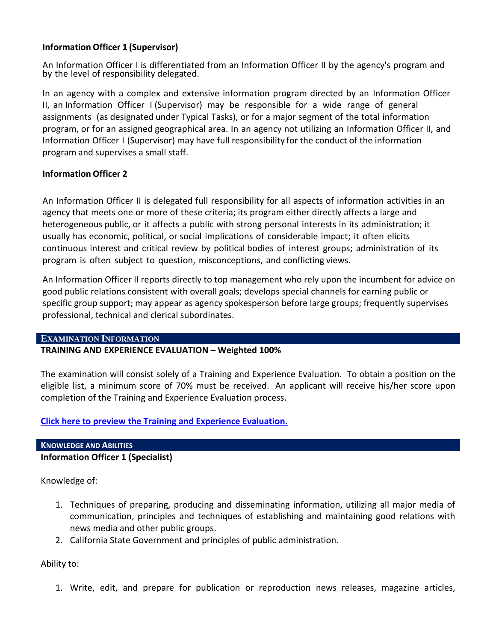### **Information Officer 1 (Supervisor)**

An Information Officer I is differentiated from an Information Officer II by the agency's program and by the level of responsibility delegated.

In an agency with a complex and extensive information program directed by an Information Officer II, an Information Officer I (Supervisor) may be responsible for a wide range of general assignments (as designated under Typical Tasks), or for a major segment of the total information program, or for an assigned geographical area. In an agency not utilizing an Information Officer II, and Information Officer I (Supervisor) may have full responsibility for the conduct of the information program and supervises a small staff.

### **Information Officer 2**

An Information Officer II is delegated full responsibility for all aspects of information activities in an agency that meets one or more of these criteria; its program either directly affects a large and heterogeneous public, or it affects a public with strong personal interests in its administration; it usually has economic, political, or social implications of considerable impact; it often elicits continuous interest and critical review by political bodies of interest groups; administration of its program is often subject to question, misconceptions, and conflicting views.

An Information Officer II reports directly to top management who rely upon the incumbent for advice on good public relations consistent with overall goals; develops special channels for earning public or specific group support; may appear as agency spokesperson before large groups; frequently supervises professional, technical and clerical subordinates.

### **EXAMINATION INFORMATION**

### **TRAINING AND EXPERIENCE EVALUATION – Weighted 100%**

The examination will consist solely of a Training and Experience Evaluation. To obtain a position on the eligible list, a minimum score of 70% must be received. An applicant will receive his/her score upon completion of the Training and Experience Evaluation process.

**[Click here to preview the Training and Experience Evaluation.](https://jobs.ca.gov/JOBSGEN/PB311A.PDF)**

### **KNOWLEDGE AND ABILITIES**

**Information Officer 1 (Specialist)**

Knowledge of:

- 1. Techniques of preparing, producing and disseminating information, utilizing all major media of communication, principles and techniques of establishing and maintaining good relations with news media and other public groups.
- 2. California State Government and principles of public administration.

Ability to:

1. Write, edit, and prepare for publication or reproduction news releases, magazine articles,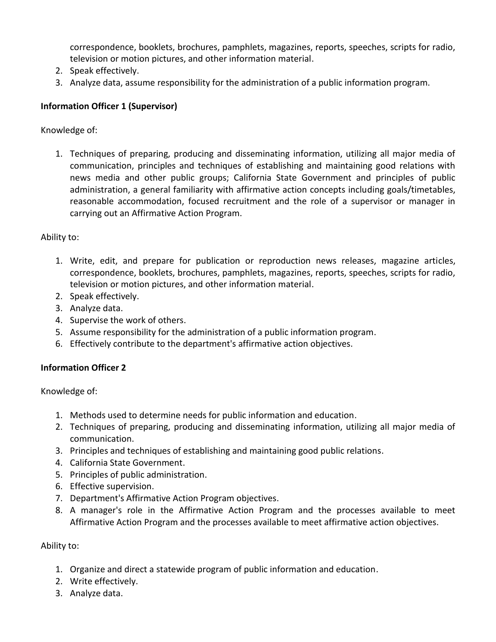correspondence, booklets, brochures, pamphlets, magazines, reports, speeches, scripts for radio, television or motion pictures, and other information material.

- 2. Speak effectively.
- 3. Analyze data, assume responsibility for the administration of a public information program.

# **Information Officer 1 (Supervisor)**

Knowledge of:

1. Techniques of preparing, producing and disseminating information, utilizing all major media of communication, principles and techniques of establishing and maintaining good relations with news media and other public groups; California State Government and principles of public administration, a general familiarity with affirmative action concepts including goals/timetables, reasonable accommodation, focused recruitment and the role of a supervisor or manager in carrying out an Affirmative Action Program.

Ability to:

- 1. Write, edit, and prepare for publication or reproduction news releases, magazine articles, correspondence, booklets, brochures, pamphlets, magazines, reports, speeches, scripts for radio, television or motion pictures, and other information material.
- 2. Speak effectively.
- 3. Analyze data.
- 4. Supervise the work of others.
- 5. Assume responsibility for the administration of a public information program.
- 6. Effectively contribute to the department's affirmative action objectives.

# **Information Officer 2**

Knowledge of:

- 1. Methods used to determine needs for public information and education.
- 2. Techniques of preparing, producing and disseminating information, utilizing all major media of communication.
- 3. Principles and techniques of establishing and maintaining good public relations.
- 4. California State Government.
- 5. Principles of public administration.
- 6. Effective supervision.
- 7. Department's Affirmative Action Program objectives.
- 8. A manager's role in the Affirmative Action Program and the processes available to meet Affirmative Action Program and the processes available to meet affirmative action objectives.

# Ability to:

- 1. Organize and direct a statewide program of public information and education.
- 2. Write effectively.
- 3. Analyze data.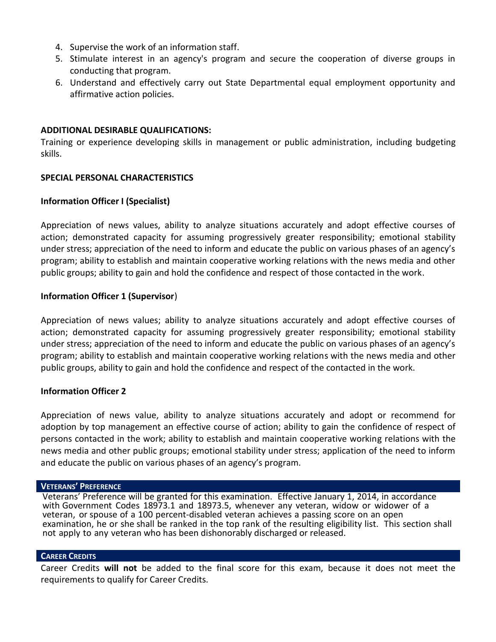- 4. Supervise the work of an information staff.
- 5. Stimulate interest in an agency's program and secure the cooperation of diverse groups in conducting that program.
- 6. Understand and effectively carry out State Departmental equal employment opportunity and affirmative action policies.

### **ADDITIONAL DESIRABLE QUALIFICATIONS:**

Training or experience developing skills in management or public administration, including budgeting skills.

### **SPECIAL PERSONAL CHARACTERISTICS**

### **Information Officer I (Specialist)**

Appreciation of news values, ability to analyze situations accurately and adopt effective courses of action; demonstrated capacity for assuming progressively greater responsibility; emotional stability under stress; appreciation of the need to inform and educate the public on various phases of an agency's program; ability to establish and maintain cooperative working relations with the news media and other public groups; ability to gain and hold the confidence and respect of those contacted in the work.

### **Information Officer 1 (Supervisor**)

Appreciation of news values; ability to analyze situations accurately and adopt effective courses of action; demonstrated capacity for assuming progressively greater responsibility; emotional stability under stress; appreciation of the need to inform and educate the public on various phases of an agency's program; ability to establish and maintain cooperative working relations with the news media and other public groups, ability to gain and hold the confidence and respect of the contacted in the work.

### **Information Officer 2**

Appreciation of news value, ability to analyze situations accurately and adopt or recommend for adoption by top management an effective course of action; ability to gain the confidence of respect of persons contacted in the work; ability to establish and maintain cooperative working relations with the news media and other public groups; emotional stability under stress; application of the need to inform and educate the public on various phases of an agency's program.

#### **VETERANS' PREFERENCE**

Veterans' Preference will be granted for this examination. Effective January 1, 2014, in accordance with Government Codes 18973.1 and 18973.5, whenever any veteran, widow or widower of a veteran, or spouse of a 100 percent-disabled veteran achieves a passing score on an open examination, he or she shall be ranked in the top rank of the resulting eligibility list. This section shall not apply to any veteran who has been dishonorably discharged or released.

#### **CAREER CREDITS**

Career Credits **will not** be added to the final score for this exam, because it does not meet the requirements to qualify for Career Credits.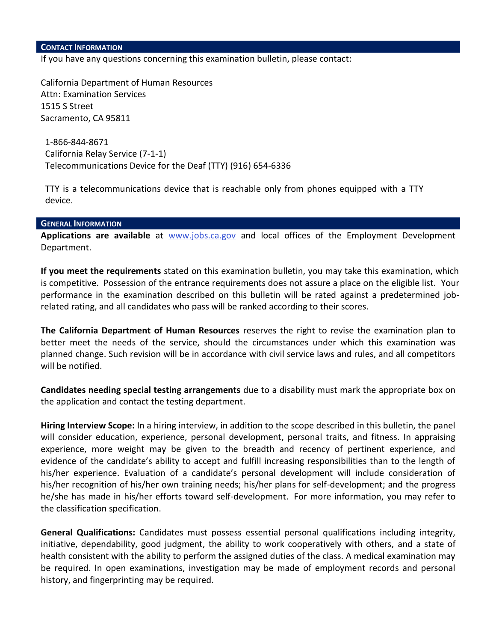If you have any questions concerning this examination bulletin, please contact:

California Department of Human Resources Attn: Examination Services 1515 S Street Sacramento, CA 95811

1-866-844-8671 California Relay Service (7-1-1) Telecommunications Device for the Deaf (TTY) (916) 654-6336

TTY is a telecommunications device that is reachable only from phones equipped with a TTY device.

#### **GENERAL INFORMATION**

**Applications are available** at [www.jobs.ca.gov](http://www.jobs.ca.gov/) and local offices of the Employment Development Department.

**If you meet the requirements** stated on this examination bulletin, you may take this examination, which is competitive. Possession of the entrance requirements does not assure a place on the eligible list. Your performance in the examination described on this bulletin will be rated against a predetermined jobrelated rating, and all candidates who pass will be ranked according to their scores.

**The California Department of Human Resources** reserves the right to revise the examination plan to better meet the needs of the service, should the circumstances under which this examination was planned change. Such revision will be in accordance with civil service laws and rules, and all competitors will be notified.

**Candidates needing special testing arrangements** due to a disability must mark the appropriate box on the application and contact the testing department.

**Hiring Interview Scope:** In a hiring interview, in addition to the scope described in this bulletin, the panel will consider education, experience, personal development, personal traits, and fitness. In appraising experience, more weight may be given to the breadth and recency of pertinent experience, and evidence of the candidate's ability to accept and fulfill increasing responsibilities than to the length of his/her experience. Evaluation of a candidate's personal development will include consideration of his/her recognition of his/her own training needs; his/her plans for self-development; and the progress he/she has made in his/her efforts toward self-development. For more information, you may refer to the classification specification.

**General Qualifications:** Candidates must possess essential personal qualifications including integrity, initiative, dependability, good judgment, the ability to work cooperatively with others, and a state of health consistent with the ability to perform the assigned duties of the class. A medical examination may be required. In open examinations, investigation may be made of employment records and personal history, and fingerprinting may be required.